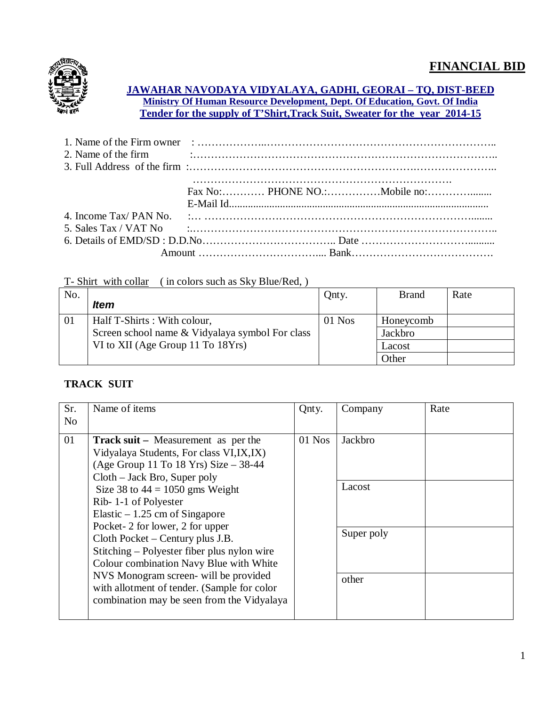

#### **JAWAHAR NAVODAYA VIDYALAYA, GADHI, GEORAI – TQ, DIST-BEED Ministry Of Human Resource Development, Dept. Of Education, Govt. Of India Tender for the supply of T'Shirt,Track Suit, Sweater for the year 2014-15**

| 2. Name of the firm $\ldots$ $\ldots$ $\ldots$ $\ldots$ $\ldots$ $\ldots$ $\ldots$ $\ldots$ $\ldots$ $\ldots$ $\ldots$ $\ldots$ $\ldots$                     |  |  |
|--------------------------------------------------------------------------------------------------------------------------------------------------------------|--|--|
| 3. Full Address of the firm $\ldots$ $\ldots$ $\ldots$ $\ldots$ $\ldots$ $\ldots$ $\ldots$ $\ldots$ $\ldots$ $\ldots$ $\ldots$ $\ldots$ $\ldots$ $\ldots$    |  |  |
|                                                                                                                                                              |  |  |
|                                                                                                                                                              |  |  |
|                                                                                                                                                              |  |  |
|                                                                                                                                                              |  |  |
| 5. Sales Tax / VAT No $\ldots$ $\ldots$ $\ldots$ $\ldots$ $\ldots$ $\ldots$ $\ldots$ $\ldots$ $\ldots$ $\ldots$ $\ldots$ $\ldots$ $\ldots$ $\ldots$ $\ldots$ |  |  |
|                                                                                                                                                              |  |  |
|                                                                                                                                                              |  |  |
|                                                                                                                                                              |  |  |

#### T- Shirt with collar ( in colors such as Sky Blue/Red, )

| No. | <b>Item</b>                                     | Qnty.    | <b>Brand</b> | Rate |
|-----|-------------------------------------------------|----------|--------------|------|
| 01  | Half T-Shirts: With colour,                     | $01$ Nos | Honeycomb    |      |
|     | Screen school name & Vidyalaya symbol For class |          | Jackbro      |      |
|     | VI to XII (Age Group 11 To 18Yrs)               |          | Lacost       |      |
|     |                                                 |          | Other        |      |

## **TRACK SUIT**

| Sr.            | Name of items                                                                                                                                                                                                                                                                                                                                                                                                                                                                                                                                                              | Qnty.  | Company                                  | Rate |
|----------------|----------------------------------------------------------------------------------------------------------------------------------------------------------------------------------------------------------------------------------------------------------------------------------------------------------------------------------------------------------------------------------------------------------------------------------------------------------------------------------------------------------------------------------------------------------------------------|--------|------------------------------------------|------|
| N <sub>o</sub> |                                                                                                                                                                                                                                                                                                                                                                                                                                                                                                                                                                            |        |                                          |      |
| 01             | <b>Track suit</b> – Measurement as per the<br>Vidyalaya Students, For class VI, IX, IX)<br>(Age Group 11 To 18 Yrs) Size $-38-44$<br>$Cloth - Jack Bro, Super poly$<br>Size 38 to $44 = 1050$ gms Weight<br>Rib-1-1 of Polyester<br>Elastic $-1.25$ cm of Singapore<br>Pocket-2 for lower, 2 for upper<br>Cloth Pocket – Century plus J.B.<br>Stitching – Polyester fiber plus nylon wire<br>Colour combination Navy Blue with White<br>NVS Monogram screen- will be provided<br>with allotment of tender. (Sample for color<br>combination may be seen from the Vidyalaya | 01 Nos | Jackbro<br>Lacost<br>Super poly<br>other |      |
|                |                                                                                                                                                                                                                                                                                                                                                                                                                                                                                                                                                                            |        |                                          |      |